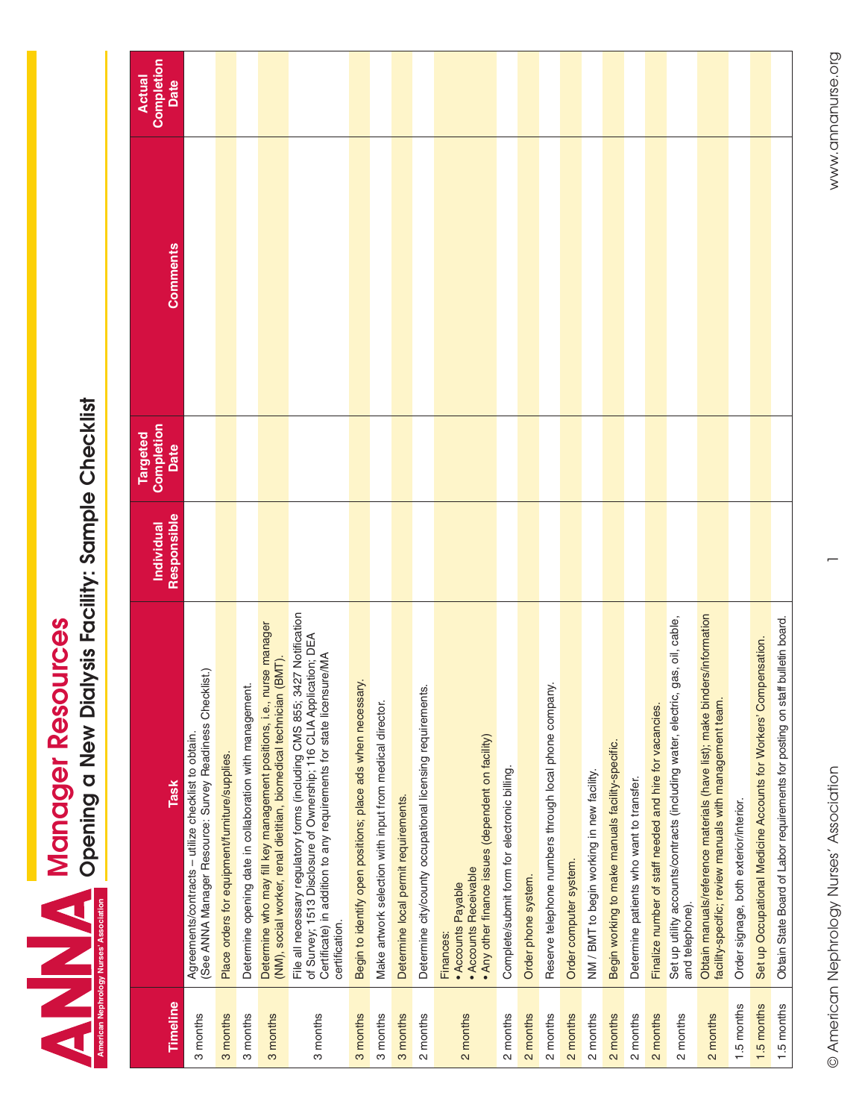Manager Resources<br>And Opening a New Dialysis Facility: Sample Checklist **Opening a New Dialysis Facility: Sample Checklist Manager Resources American Nephrology Nurses' Association**

| Timeline   | Task                                                                                                                                                                                                                                     | Responsible<br>Individual | Completion<br><b>Targeted</b><br>Date | <b>Comments</b> | Completion<br><b>Actual</b><br>Date |
|------------|------------------------------------------------------------------------------------------------------------------------------------------------------------------------------------------------------------------------------------------|---------------------------|---------------------------------------|-----------------|-------------------------------------|
| 3 months   | (See ANNA Manager Resource: Survey Readiness Checklist.)<br>Agreements/contracts - utilize checklist to obtain.                                                                                                                          |                           |                                       |                 |                                     |
| 3 months   | Place orders for equipment/furniture/supplies.                                                                                                                                                                                           |                           |                                       |                 |                                     |
| 3 months   | Determine opening date in collaboration with management                                                                                                                                                                                  |                           |                                       |                 |                                     |
| 3 months   | Determine who may fill key management positions, i.e., nurse manager<br>(NM), social worker, renal dietitian, biomedical technician (BMT).                                                                                               |                           |                                       |                 |                                     |
| 3 months   | File all necessary regulatory forms (including CMS 855; 3427 Notification<br>of Survey; 1513 Disclosure of Ownership; 116 CLIA Application; DEA<br>Certificate) in addition to any requirements for state licensure/MA<br>certification. |                           |                                       |                 |                                     |
| 3 months   | Begin to identify open positions; place ads when necessary.                                                                                                                                                                              |                           |                                       |                 |                                     |
| 3 months   | Make artwork selection with input from medical director.                                                                                                                                                                                 |                           |                                       |                 |                                     |
| 3 months   | Determine local permit requirements.                                                                                                                                                                                                     |                           |                                       |                 |                                     |
| 2 months   | Determine city/county occupational licensing requirements.                                                                                                                                                                               |                           |                                       |                 |                                     |
| 2 months   | . Any other finance issues (dependent on facility)<br>• Accounts Receivable<br>• Accounts Payable<br>Finances:                                                                                                                           |                           |                                       |                 |                                     |
| 2 months   | Complete/submit form for electronic billing.                                                                                                                                                                                             |                           |                                       |                 |                                     |
| 2 months   | Order phone system.                                                                                                                                                                                                                      |                           |                                       |                 |                                     |
| 2 months   | Reserve telephone numbers through local phone company                                                                                                                                                                                    |                           |                                       |                 |                                     |
| 2 months   | Order computer system.                                                                                                                                                                                                                   |                           |                                       |                 |                                     |
| 2 months   | NM / BMT to begin working in new facility.                                                                                                                                                                                               |                           |                                       |                 |                                     |
| 2 months   | Begin working to make manuals facility-specific.                                                                                                                                                                                         |                           |                                       |                 |                                     |
| 2 months   | Determine patients who want to transfer.                                                                                                                                                                                                 |                           |                                       |                 |                                     |
| 2 months   | Finalize number of staff needed and hire for vacancies.                                                                                                                                                                                  |                           |                                       |                 |                                     |
| 2 months   | Set up utility accounts/contracts (including water, electric, gas, oil, cable,<br>and telephone).                                                                                                                                        |                           |                                       |                 |                                     |
| 2 months   | Obtain manuals/reference materials (have list); make binders/information<br>facility-specific; review manuals with management team.                                                                                                      |                           |                                       |                 |                                     |
| 1.5 months | Order signage, both exterior/interior.                                                                                                                                                                                                   |                           |                                       |                 |                                     |
| 1.5 months | Set up Occupational Medicine Accounts for Workers' Compensation.                                                                                                                                                                         |                           |                                       |                 |                                     |
| 1.5 months | bulletin board.<br>Obtain State Board of Labor requirements for posting on staff                                                                                                                                                         |                           |                                       |                 |                                     |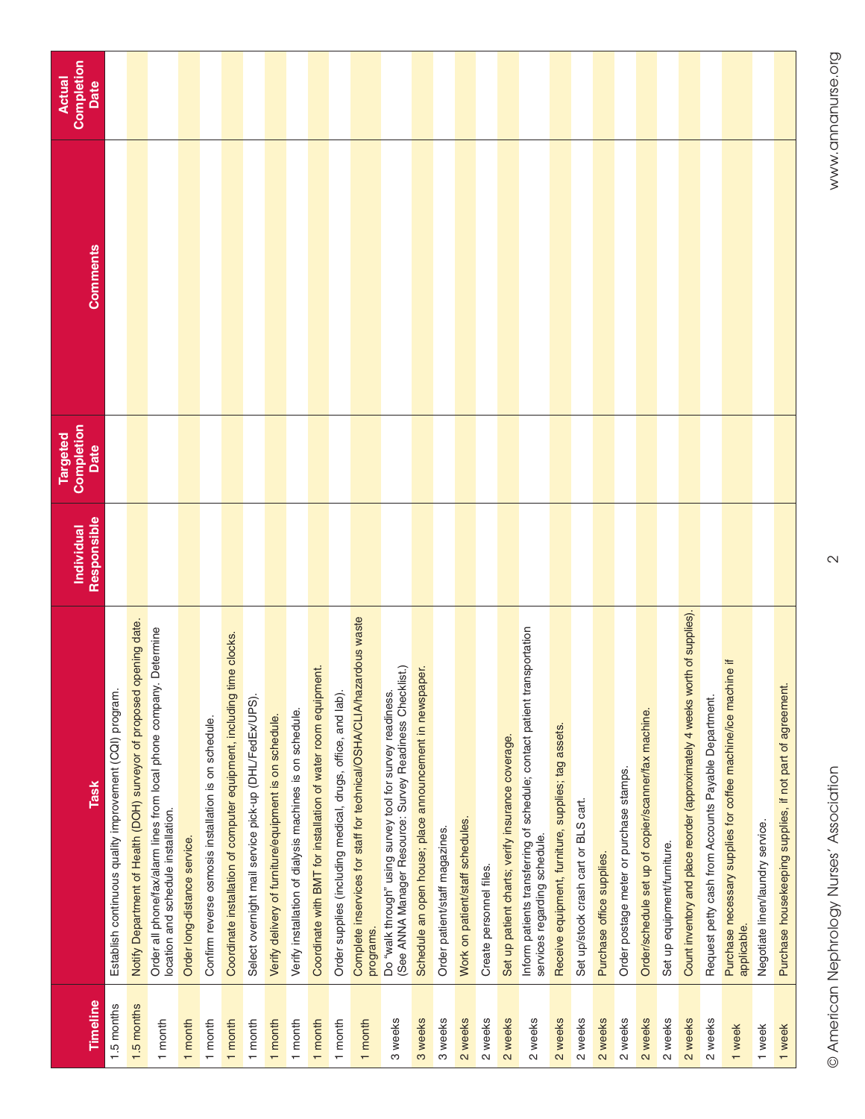| Timeline   | Task                                                                                                                  | Responsible<br>Individual | Completion<br><b>Targeted</b><br>Date | Comments | Completion<br><b>Actual</b><br>Date |
|------------|-----------------------------------------------------------------------------------------------------------------------|---------------------------|---------------------------------------|----------|-------------------------------------|
| 1.5 months | Establish continuous quality improvement (CQI) program.                                                               |                           |                                       |          |                                     |
| 1.5 months | Notify Department of Health (DOH) surveyor of proposed opening date.                                                  |                           |                                       |          |                                     |
| 1 month    | Determine<br>Order all phone/fax/alarm lines from local phone company.<br>location and schedule installation.         |                           |                                       |          |                                     |
| 1 month    | Order long-distance service.                                                                                          |                           |                                       |          |                                     |
| 1 month    | Confirm reverse osmosis installation is on schedule.                                                                  |                           |                                       |          |                                     |
| 1 month    | Coordinate installation of computer equipment, including time clocks                                                  |                           |                                       |          |                                     |
| 1 month    | Select overnight mail service pick-up (DHL/FedEx/UPS)                                                                 |                           |                                       |          |                                     |
| 1 month    | Verify delivery of furniture/equipment is on schedule.                                                                |                           |                                       |          |                                     |
| 1 month    | Verify installation of dialysis machines is on schedule.                                                              |                           |                                       |          |                                     |
| 1 month    | Coordinate with BMT for installation of water room equipment.                                                         |                           |                                       |          |                                     |
| 1 month    | Order supplies (including medical, drugs, office, and lab).                                                           |                           |                                       |          |                                     |
| 1 month    | Complete inservices for staff for technical/OSHA/CLIA/hazardous waste<br>programs.                                    |                           |                                       |          |                                     |
| 3 weeks    | (See ANNA Manager Resource: Survey Readiness Checklist.)<br>Do "walk through" using survey tool for survey readiness. |                           |                                       |          |                                     |
| 3 weeks    | Schedule an open house; place announcement in newspaper.                                                              |                           |                                       |          |                                     |
| 3 weeks    | Order patient/staff magazines.                                                                                        |                           |                                       |          |                                     |
| 2 weeks    | Work on patient/staff schedules.                                                                                      |                           |                                       |          |                                     |
| 2 weeks    | Create personnel files                                                                                                |                           |                                       |          |                                     |
| 2 weeks    | Set up patient charts; verify insurance coverage.                                                                     |                           |                                       |          |                                     |
| 2 weeks    | Inform patients transferring of schedule; contact patient transportation<br>services regarding schedule.              |                           |                                       |          |                                     |
| 2 weeks    | Receive equipment, furniture, supplies; tag assets.                                                                   |                           |                                       |          |                                     |
| 2 weeks    | Set up/stock crash cart or BLS cart.                                                                                  |                           |                                       |          |                                     |
| 2 weeks    | Purchase office supplies.                                                                                             |                           |                                       |          |                                     |
| 2 weeks    | Order postage meter or purchase stamps.                                                                               |                           |                                       |          |                                     |
| 2 weeks    | Order/schedule set up of copier/scanner/fax machine.                                                                  |                           |                                       |          |                                     |
| 2 weeks    | Set up equipment/furniture.                                                                                           |                           |                                       |          |                                     |
| 2 weeks    | Count inventory and place reorder (approximately 4 weeks worth of supplies)                                           |                           |                                       |          |                                     |
| 2 weeks    | Request petty cash from Accounts Payable Department.                                                                  |                           |                                       |          |                                     |
| 1 week     | Purchase necessary supplies for coffee machine/ice machine if<br>applicable.                                          |                           |                                       |          |                                     |
| 1 week     | Negotiate linen/laundry service.                                                                                      |                           |                                       |          |                                     |
| 1 week     | Purchase housekeeping supplies, if not part of agreement.                                                             |                           |                                       |          |                                     |

 $\mathbf{\Omega}$